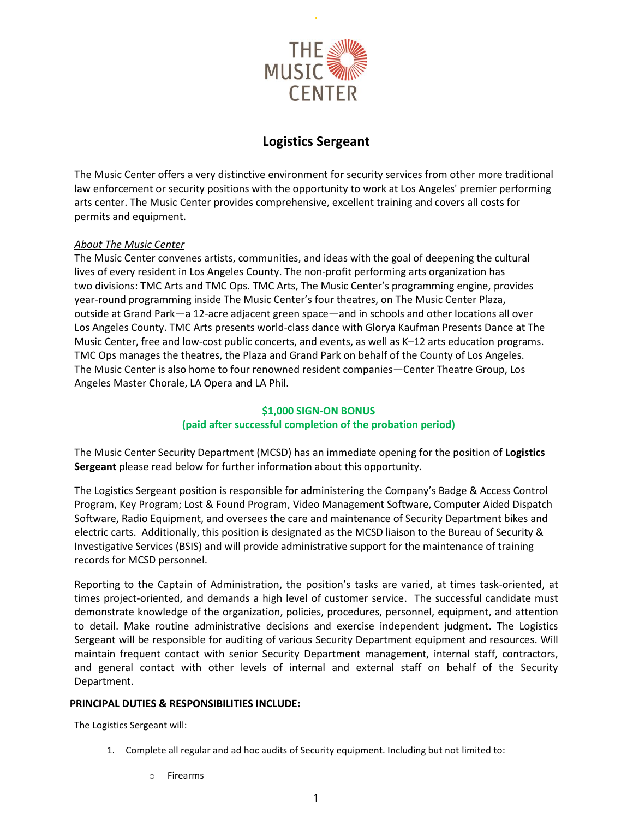

.

# **Logistics Sergeant**

The Music Center offers a very distinctive environment for security services from other more traditional law enforcement or security positions with the opportunity to work at Los Angeles' premier performing arts center. The Music Center provides comprehensive, excellent training and covers all costs for permits and equipment.

## *About The Music Center*

The Music Center convenes artists, communities, and ideas with the goal of deepening the cultural lives of every resident in Los Angeles County. The non-profit performing arts organization has two divisions: TMC Arts and TMC Ops. TMC Arts, The Music Center's programming engine, provides year-round programming inside The Music Center's four theatres, on The Music Center Plaza, outside at Grand Park—a 12-acre adjacent green space—and in schools and other locations all over Los Angeles County. TMC Arts presents world-class dance with Glorya Kaufman Presents Dance at The Music Center, free and low-cost public concerts, and events, as well as K–12 arts education programs. TMC Ops manages the theatres, the Plaza and Grand Park on behalf of the County of Los Angeles. The Music Center is also home to four renowned resident companies—Center Theatre Group, Los Angeles Master Chorale, LA Opera and LA Phil.

## **\$1,000 SIGN-ON BONUS (paid after successful completion of the probation period)**

The Music Center Security Department (MCSD) has an immediate opening for the position of **Logistics Sergeant** please read below for further information about this opportunity.

The Logistics Sergeant position is responsible for administering the Company's Badge & Access Control Program, Key Program; Lost & Found Program, Video Management Software, Computer Aided Dispatch Software, Radio Equipment, and oversees the care and maintenance of Security Department bikes and electric carts. Additionally, this position is designated as the MCSD liaison to the Bureau of Security & Investigative Services (BSIS) and will provide administrative support for the maintenance of training records for MCSD personnel.

Reporting to the Captain of Administration, the position's tasks are varied, at times task-oriented, at times project-oriented, and demands a high level of customer service. The successful candidate must demonstrate knowledge of the organization, policies, procedures, personnel, equipment, and attention to detail. Make routine administrative decisions and exercise independent judgment. The Logistics Sergeant will be responsible for auditing of various Security Department equipment and resources. Will maintain frequent contact with senior Security Department management, internal staff, contractors, and general contact with other levels of internal and external staff on behalf of the Security Department.

### **PRINCIPAL DUTIES & RESPONSIBILITIES INCLUDE:**

The Logistics Sergeant will:

- 1. Complete all regular and ad hoc audits of Security equipment. Including but not limited to:
	- o Firearms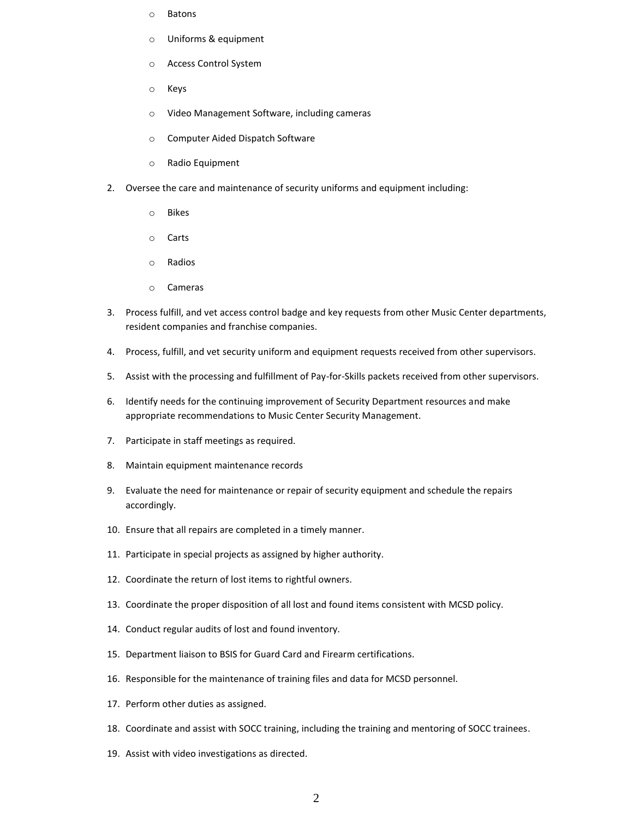- o Batons
- o Uniforms & equipment
- o Access Control System
- o Keys
- o Video Management Software, including cameras
- o Computer Aided Dispatch Software
- o Radio Equipment
- 2. Oversee the care and maintenance of security uniforms and equipment including:
	- o Bikes
	- o Carts
	- o Radios
	- o Cameras
- 3. Process fulfill, and vet access control badge and key requests from other Music Center departments, resident companies and franchise companies.
- 4. Process, fulfill, and vet security uniform and equipment requests received from other supervisors.
- 5. Assist with the processing and fulfillment of Pay-for-Skills packets received from other supervisors.
- 6. Identify needs for the continuing improvement of Security Department resources and make appropriate recommendations to Music Center Security Management.
- 7. Participate in staff meetings as required.
- 8. Maintain equipment maintenance records
- 9. Evaluate the need for maintenance or repair of security equipment and schedule the repairs accordingly.
- 10. Ensure that all repairs are completed in a timely manner.
- 11. Participate in special projects as assigned by higher authority.
- 12. Coordinate the return of lost items to rightful owners.
- 13. Coordinate the proper disposition of all lost and found items consistent with MCSD policy.
- 14. Conduct regular audits of lost and found inventory.
- 15. Department liaison to BSIS for Guard Card and Firearm certifications.
- 16. Responsible for the maintenance of training files and data for MCSD personnel.
- 17. Perform other duties as assigned.
- 18. Coordinate and assist with SOCC training, including the training and mentoring of SOCC trainees.
- 19. Assist with video investigations as directed.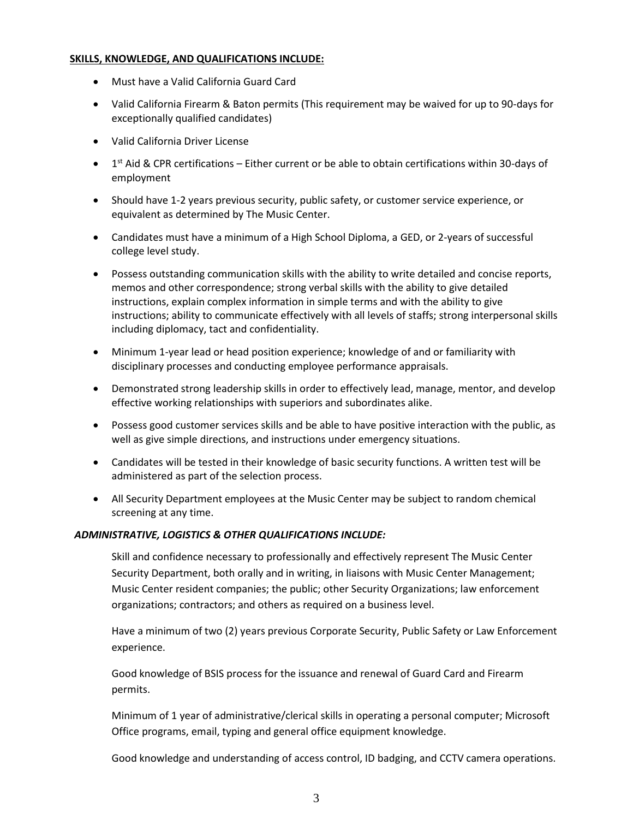#### **SKILLS, KNOWLEDGE, AND QUALIFICATIONS INCLUDE:**

- Must have a Valid California Guard Card
- Valid California Firearm & Baton permits (This requirement may be waived for up to 90-days for exceptionally qualified candidates)
- Valid California Driver License
- $\bullet$  1<sup>st</sup> Aid & CPR certifications Either current or be able to obtain certifications within 30-days of employment
- Should have 1-2 years previous security, public safety, or customer service experience, or equivalent as determined by The Music Center.
- Candidates must have a minimum of a High School Diploma, a GED, or 2-years of successful college level study.
- Possess outstanding communication skills with the ability to write detailed and concise reports, memos and other correspondence; strong verbal skills with the ability to give detailed instructions, explain complex information in simple terms and with the ability to give instructions; ability to communicate effectively with all levels of staffs; strong interpersonal skills including diplomacy, tact and confidentiality.
- Minimum 1-year lead or head position experience; knowledge of and or familiarity with disciplinary processes and conducting employee performance appraisals.
- Demonstrated strong leadership skills in order to effectively lead, manage, mentor, and develop effective working relationships with superiors and subordinates alike.
- Possess good customer services skills and be able to have positive interaction with the public, as well as give simple directions, and instructions under emergency situations.
- Candidates will be tested in their knowledge of basic security functions. A written test will be administered as part of the selection process.
- All Security Department employees at the Music Center may be subject to random chemical screening at any time.

### *ADMINISTRATIVE, LOGISTICS & OTHER QUALIFICATIONS INCLUDE:*

Skill and confidence necessary to professionally and effectively represent The Music Center Security Department, both orally and in writing, in liaisons with Music Center Management; Music Center resident companies; the public; other Security Organizations; law enforcement organizations; contractors; and others as required on a business level.

Have a minimum of two (2) years previous Corporate Security, Public Safety or Law Enforcement experience.

Good knowledge of BSIS process for the issuance and renewal of Guard Card and Firearm permits.

Minimum of 1 year of administrative/clerical skills in operating a personal computer; Microsoft Office programs, email, typing and general office equipment knowledge.

Good knowledge and understanding of access control, ID badging, and CCTV camera operations.